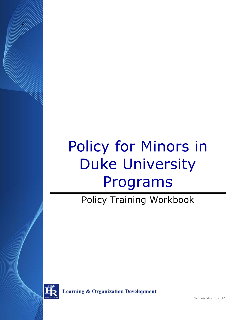# Policy for Minors in Duke University Programs

Policy Training Workbook



g

**Learning & Organization Development** 

Version: May 16, 2012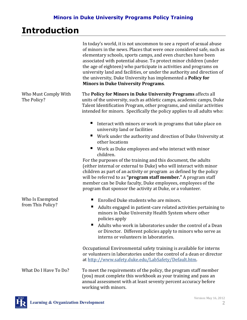# **Introduction**

|                                     | In today's world, it is not uncommon to see a report of sexual abuse<br>of minors in the news. Places that were once considered safe, such as<br>elementary schools, sports camps, and even churches have been<br>associated with potential abuse. To protect minor children (under<br>the age of eighteen) who participate in activities and programs on<br>university land and facilities, or under the authority and direction of<br>the university, Duke University has implemented a Policy for<br><b>Minors in Duke University Programs.</b> |
|-------------------------------------|----------------------------------------------------------------------------------------------------------------------------------------------------------------------------------------------------------------------------------------------------------------------------------------------------------------------------------------------------------------------------------------------------------------------------------------------------------------------------------------------------------------------------------------------------|
| Who Must Comply With<br>The Policy? | The Policy for Minors in Duke University Programs affects all<br>units of the university, such as athletic camps, academic camps, Duke<br>Talent Identification Program, other programs, and similar activities<br>intended for minors. Specifically the policy applies to all adults who:                                                                                                                                                                                                                                                         |
|                                     | Interact with minors or work in programs that take place on<br>university land or facilities                                                                                                                                                                                                                                                                                                                                                                                                                                                       |
|                                     | Work under the authority and direction of Duke University at<br>ш<br>other locations                                                                                                                                                                                                                                                                                                                                                                                                                                                               |
|                                     | Work as Duke employees and who interact with minor<br>ш<br>children.                                                                                                                                                                                                                                                                                                                                                                                                                                                                               |
|                                     | For the purposes of the training and this document, the adults<br>(either internal or external to Duke) who will interact with minor<br>children as part of an activity or program as defined by the policy<br>will be referred to as "program staff member." A program staff<br>member can be Duke faculty, Duke employees, employees of the<br>program that sponsor the activity at Duke, or a volunteer.                                                                                                                                        |
| Who Is Exempted                     | Enrolled Duke students who are minors.                                                                                                                                                                                                                                                                                                                                                                                                                                                                                                             |
| from This Policy?                   | Adults engaged in patient-care related activities pertaining to<br>ш<br>minors in Duke University Health System where other<br>policies apply                                                                                                                                                                                                                                                                                                                                                                                                      |
|                                     | Adults who work in laboratories under the control of a Dean<br>■<br>or Director. Different policies apply to minors who serve as<br>interns or volunteers in laboratories.                                                                                                                                                                                                                                                                                                                                                                         |
|                                     | Occupational Environmental safety training is available for interns<br>or volunteers in laboratories under the control of a dean or director<br>at http://www.safety.duke.edu/LabSafety/Default.htm.                                                                                                                                                                                                                                                                                                                                               |
| What Do I Have To Do?               | To meet the requirements of the policy, the program staff member<br>(you) must complete this workbook as your training and pass an<br>annual assessment with at least seventy percent accuracy before<br>working with minors.                                                                                                                                                                                                                                                                                                                      |

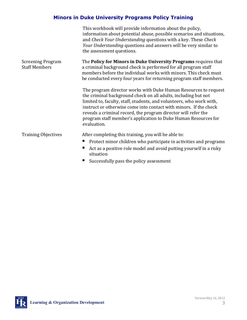|                                                  | This workbook will provide information about the policy,<br>information about potential abuse, possible scenarios and situations,<br>and Check Your Understanding questions with a key. These Check<br>Your Understanding questions and answers will be very similar to<br>the assessment questions.                                                                                                                              |
|--------------------------------------------------|-----------------------------------------------------------------------------------------------------------------------------------------------------------------------------------------------------------------------------------------------------------------------------------------------------------------------------------------------------------------------------------------------------------------------------------|
| <b>Screening Program</b><br><b>Staff Members</b> | The Policy for Minors in Duke University Programs requires that<br>a criminal background check is performed for all program staff<br>members before the individual works with minors. This check must<br>be conducted every four years for returning program staff members.                                                                                                                                                       |
|                                                  | The program director works with Duke Human Resources to request<br>the criminal background check on all adults, including but not<br>limited to, faculty, staff, students, and volunteers, who work with,<br>instruct or otherwise come into contact with minors. If the check<br>reveals a criminal record, the program director will refer the<br>program staff member's application to Duke Human Resources for<br>evaluation. |
| <b>Training Objectives</b>                       | After completing this training, you will be able to:                                                                                                                                                                                                                                                                                                                                                                              |
|                                                  | Protect minor children who participate in activities and programs                                                                                                                                                                                                                                                                                                                                                                 |
|                                                  | Act as a positive role model and avoid putting yourself in a risky<br>situation                                                                                                                                                                                                                                                                                                                                                   |
|                                                  | Successfully pass the policy assessment                                                                                                                                                                                                                                                                                                                                                                                           |

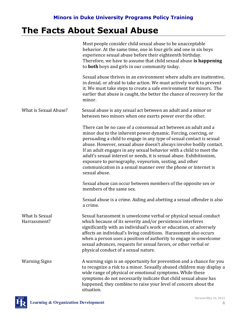# **The Facts About Sexual Abuse**

|                                | Most people consider child sexual abuse to be unacceptable<br>behavior. At the same time, one in four girls and one in six boys<br>experience sexual abuse before their eighteenth birthday.<br>Therefore, we have to assume that child sexual abuse is happening<br>to <b>both</b> boys and girls in our community today.                                                                                                                                                                                                                                                   |
|--------------------------------|------------------------------------------------------------------------------------------------------------------------------------------------------------------------------------------------------------------------------------------------------------------------------------------------------------------------------------------------------------------------------------------------------------------------------------------------------------------------------------------------------------------------------------------------------------------------------|
|                                | Sexual abuse thrives in an environment where adults are inattentive,<br>in denial, or afraid to take action. We must actively work to prevent<br>it. We must take steps to create a safe environment for minors. The<br>earlier that abuse is caught, the better the chance of recovery for the<br>minor.                                                                                                                                                                                                                                                                    |
| What is Sexual Abuse?          | Sexual abuse is any sexual act between an adult and a minor or<br>between two minors when one exerts power over the other.                                                                                                                                                                                                                                                                                                                                                                                                                                                   |
|                                | There can be no case of a consensual act between an adult and a<br>minor due to the inherent power dynamic. Forcing, coercing, or<br>persuading a child to engage in any type of sexual contact is sexual<br>abuse. However, sexual abuse doesn't always involve bodily contact.<br>If an adult engages in any sexual behavior with a child to meet the<br>adult's sexual interest or needs, it is sexual abuse. Exhibitionism,<br>exposure to pornography, voyeurism, sexting, and other<br>communication in a sexual manner over the phone or internet is<br>sexual abuse. |
|                                | Sexual abuse can occur between members of the opposite sex or<br>members of the same sex.                                                                                                                                                                                                                                                                                                                                                                                                                                                                                    |
|                                | Sexual abuse is a crime. Aiding and abetting a sexual offender is also<br>a crime.                                                                                                                                                                                                                                                                                                                                                                                                                                                                                           |
| What Is Sexual<br>Harrassment? | Sexual harassment is unwelcome verbal or physical sexual conduct<br>which because of its severity and/or persistence interferes<br>significantly with an individual's work or education, or adversely<br>affects an individual's living conditions. Harassment also occurs<br>when a person uses a position of authority to engage in unwelcome<br>sexual advances, requests for sexual favors, or other verbal or<br>physical conduct of a sexual nature.                                                                                                                   |
| <b>Warning Signs</b>           | A warning sign is an opportunity for prevention and a chance for you<br>to recognize a risk to a minor. Sexually abused children may display a<br>wide range of physical or emotional symptoms. While these<br>symptoms do not necessarily indicate that child sexual abuse has<br>happened, they combine to raise your level of concern about the<br>situation.                                                                                                                                                                                                             |

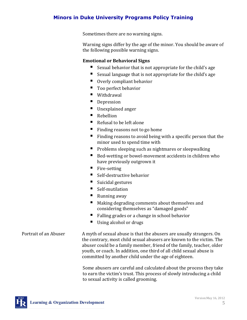Sometimes there are no warning signs.

Warning signs differ by the age of the minor. You should be aware of the following possible warning signs.

#### **Emotional or Behavioral Signs**

- Sexual behavior that is not appropriate for the child's age
- Sexual language that is not appropriate for the child's age
- Overly compliant behavior
- Too perfect behavior
- Withdrawal
- Depression
- Unexplained anger
- Rebellion
- Refusal to be left alone
- $\blacksquare$  Finding reasons not to go home
- $\blacksquare$  Finding reasons to avoid being with a specific person that the minor used to spend time with
- $\blacksquare$  Problems sleeping such as nightmares or sleepwalking
- Bed-wetting or bowel-movement accidents in children who have previously outgrown it
- Fire-setting
- Self-destructive behavior
- $\blacksquare$  Suicidal gestures
- Self-mutilation
- Running away
- Making degrading comments about themselves and considering themselves as "damaged goods"
- Falling grades or a change in school behavior
- Using alcohol or drugs

Portrait of an Abuser A myth of sexual abuse is that the abusers are usually strangers. On the contrary, most child sexual abusers are known to the victim. The abuser could be a family member, friend of the family, teacher, older youth, or coach. In addition, one third of all child sexual abuse is committed by another child under the age of eighteen.

> Some abusers are careful and calculated about the process they take to earn the victim's trust. This process of slowly introducing a child to sexual activity is called grooming.

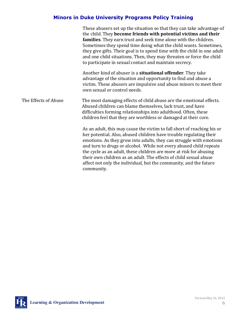|                      | These abusers set up the situation so that they can take advantage of<br>the child. They become friends with potential victims and their<br>families. They earn trust and seek time alone with the children.<br>Sometimes they spend time doing what the child wants. Sometimes,<br>they give gifts. Their goal is to spend time with the child in one adult<br>and one child situations. Then, they may threaten or force the child<br>to participate in sexual contact and maintain secrecy.                           |
|----------------------|--------------------------------------------------------------------------------------------------------------------------------------------------------------------------------------------------------------------------------------------------------------------------------------------------------------------------------------------------------------------------------------------------------------------------------------------------------------------------------------------------------------------------|
|                      | Another kind of abuser is a <b>situational offender</b> . They take<br>advantage of the situation and opportunity to find and abuse a<br>victim. These abusers are impulsive and abuse minors to meet their<br>own sexual or control needs.                                                                                                                                                                                                                                                                              |
| The Effects of Abuse | The most damaging effects of child abuse are the emotional effects.<br>Abused children can blame themselves, lack trust, and have<br>difficulties forming relationships into adulthood. Often, these<br>children feel that they are worthless or damaged at their core.                                                                                                                                                                                                                                                  |
|                      | As an adult, this may cause the victim to fall short of reaching his or<br>her potential. Also, abused children have trouble regulating their<br>emotions. As they grow into adults, they can struggle with emotions<br>and turn to drugs or alcohol. While not every abused child repeats<br>the cycle as an adult, these children are more at risk for abusing<br>their own children as an adult. The effects of child sexual abuse<br>affect not only the individual, but the community, and the future<br>community. |

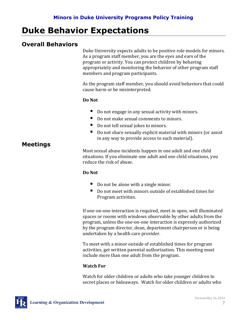# **Duke Behavior Expectations**

## **Overall Behaviors**

Duke University expects adults to be positive role models for minors. As a program staff member, you are the eyes and ears of the program or activity. You can protect children by behaving appropriately and monitoring the behavior of other program staff members and program participants.

As the program staff member, you should avoid behaviors that could cause harm or be misinterpreted.

#### **Do Not**

- Do not engage in any sexual activity with minors.
- Do not make sexual comments to minors.
- Do not tell sexual jokes to minors.
- Do not share sexually explicit material with minors (or assist in any way to provide access to such material).

### **Meetings**

Most sexual abuse incidents happen in one adult and one child situations. If you eliminate one adult and one child situations, you reduce the risk of abuse.

#### **Do Not**

- Do not be alone with a single minor.
- Do not meet with minors outside of established times for Program activities.

If one-on-one interaction is required, meet in open, well illuminated spaces or rooms with windows observable by other adults from the program, unless the one-on-one interaction is expressly authorized by the program director, dean, department chairperson or is being undertaken by a health care provider.

To meet with a minor outside of established times for program activities, get written parental authorization. This meeting must include more than one adult from the program.

#### **Watch For**

Watch for older children or adults who take younger children to secret places or hideaways. Watch for older children or adults who

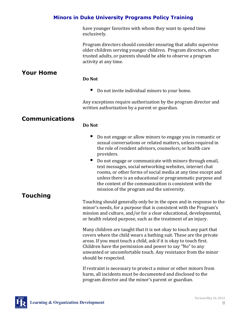have younger favorites with whom they want to spend time exclusively.

Program directors should consider ensuring that adults supervise older children serving younger children. Program directors, other trusted adults, or parents should be able to observe a program activity at any time.

## **Your Home**

#### **Do Not**

■ Do not invite individual minors to your home.

Any exceptions require authorization by the program director and written authorization by a parent or guardian.

### **Communications**

#### **Do Not**

- Do not engage or allow minors to engage you in romantic or sexual conversations or related matters, unless required in the role of resident advisors, counselors, or health care providers.
- Do not engage or communicate with minors through email, text messages, social networking websites, internet chat rooms, or other forms of social media at any time except and unless there is an educational or programmatic purpose and the content of the communication is consistent with the mission of the program and the university.

### **Touching**

Touching should generally only be in the open and in response to the minor's needs, for a purpose that is consistent with the Program's mission and culture, and/or for a clear educational, developmental, or health related purpose, such as the treatment of an injury.

Many children are taught that it is not okay to touch any part that covers where the child wears a bathing suit. These are the private areas. If you must touch a child, ask if it is okay to touch first. Children have the permission and power to say "No" to any unwanted or uncomfortable touch. Any resistance from the minor should be respected.

If restraint is necessary to protect a minor or other minors from harm, all incidents must be documented and disclosed to the program director and the minor's parent or guardian.

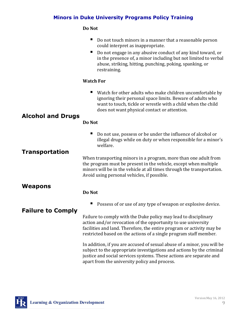#### **Do Not**

|                          | Do not touch minors in a manner that a reasonable person<br>could interpret as inappropriate.<br>Do not engage in any abusive conduct of any kind toward, or<br>in the presence of, a minor including but not limited to verbal<br>abuse, striking, hitting, punching, poking, spanking, or<br>restraining. |
|--------------------------|-------------------------------------------------------------------------------------------------------------------------------------------------------------------------------------------------------------------------------------------------------------------------------------------------------------|
|                          | <b>Watch For</b>                                                                                                                                                                                                                                                                                            |
|                          | Watch for other adults who make children uncomfortable by<br>ignoring their personal space limits. Beware of adults who<br>want to touch, tickle or wrestle with a child when the child<br>does not want physical contact or attention.                                                                     |
| <b>Alcohol and Drugs</b> | Do Not                                                                                                                                                                                                                                                                                                      |
|                          | Do not use, possess or be under the influence of alcohol or<br>illegal drugs while on duty or when responsible for a minor's<br>welfare.                                                                                                                                                                    |
| <b>Transportation</b>    | When transporting minors in a program, more than one adult from<br>the program must be present in the vehicle, except when multiple<br>minors will be in the vehicle at all times through the transportation.<br>Avoid using personal vehicles, if possible.                                                |
| Weapons                  |                                                                                                                                                                                                                                                                                                             |
|                          | Do Not                                                                                                                                                                                                                                                                                                      |
|                          | Possess of or use of any type of weapon or explosive device.                                                                                                                                                                                                                                                |
| <b>Failure to Comply</b> | Failure to comply with the Duke policy may lead to disciplinary<br>action and/or revocation of the opportunity to use university<br>facilities and land. Therefore, the entire program or activity may be<br>restricted based on the actions of a single program staff member.                              |
|                          | In addition, if you are accused of sexual abuse of a minor, you will be<br>subject to the appropriate investigations and actions by the criminal<br>justice and social services systems. These actions are separate and<br>apart from the university policy and process.                                    |

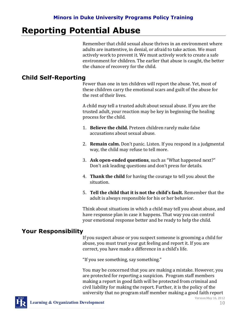# **Reporting Potential Abuse**

Remember that child sexual abuse thrives in an environment where adults are inattentive, in denial, or afraid to take action. We must actively work to prevent it. We must actively work to create a safe environment for children. The earlier that abuse is caught, the better the chance of recovery for the child.

## **Child Self-Reporting**

Fewer than one in ten children will report the abuse. Yet, most of these children carry the emotional scars and guilt of the abuse for the rest of their lives.

A child may tell a trusted adult about sexual abuse. If you are the trusted adult, your reaction may be key in beginning the healing process for the child.

- 1. **Believe the child.** Preteen children rarely make false accusations about sexual abuse.
- 2. **Remain calm.** Don't panic. Listen. If you respond in a judgmental way, the child may refuse to tell more.
- 3. **Ask open-ended questions**, such as "What happened next?" Don't ask leading questions and don't press for details.
- 4. **Thank the child** for having the courage to tell you about the situation.
- 5. **Tell the child that it is not the child's fault.** Remember that the adult is always responsible for his or her behavior.

Think about situations in which a child may tell you about abuse, and have response plan in case it happens. That way you can control your emotional response better and be ready to help the child.

### **Your Responsibility**

If you suspect abuse or you suspect someone is grooming a child for abuse, you must trust your gut feeling and report it. If you are correct, you have made a difference in a child's life.

"If you see something, say something."

You may be concerned that you are making a mistake. However, you are protected for reporting a suspicion. Program staff members making a report in good faith will be protected from criminal and civil liability for making the report. Further, it is the policy of the university that no program staff member making a good faith report



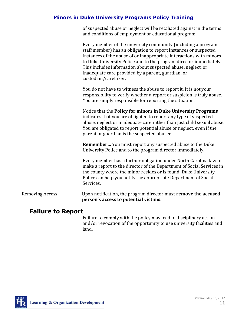of suspected abuse or neglect will be retaliated against in the terms and conditions of employment or educational program.

|                        | Every member of the university community (including a program<br>staff member) has an obligation to report instances or suspected<br>instances of the abuse of or inappropriate interactions with minors<br>to Duke University Police and to the program director immediately.<br>This includes information about suspected abuse, neglect, or<br>inadequate care provided by a parent, guardian, or<br>custodian/caretaker. |
|------------------------|------------------------------------------------------------------------------------------------------------------------------------------------------------------------------------------------------------------------------------------------------------------------------------------------------------------------------------------------------------------------------------------------------------------------------|
|                        | You do not have to witness the abuse to report it. It is not your<br>responsibility to verify whether a report or suspicion is truly abuse.<br>You are simply responsible for reporting the situation.                                                                                                                                                                                                                       |
|                        | Notice that the Policy for minors in Duke University Programs<br>indicates that you are obligated to report any type of suspected<br>abuse, neglect or inadequate care rather than just child sexual abuse.<br>You are obligated to report potential abuse or neglect, even if the<br>parent or guardian is the suspected abuser.                                                                                            |
|                        | Remember You must report any suspected abuse to the Duke<br>University Police and to the program director immediately.                                                                                                                                                                                                                                                                                                       |
|                        | Every member has a further obligation under North Carolina law to<br>make a report to the director of the Department of Social Services in<br>the county where the minor resides or is found. Duke University<br>Police can help you notify the appropriate Department of Social<br>Services.                                                                                                                                |
| <b>Removing Access</b> | Upon notification, the program director must remove the accused<br>person's access to potential victims.                                                                                                                                                                                                                                                                                                                     |

#### **Failure to Report**

Failure to comply with the policy may lead to disciplinary action and/or revocation of the opportunity to use university facilities and land.

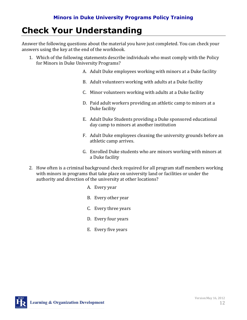# **Check Your Understanding**

Answer the following questions about the material you have just completed. You can check your answers using the key at the end of the workbook.

- 1. Which of the following statements describe individuals who must comply with the Policy for Minors in Duke University Programs?
	- A. Adult Duke employees working with minors at a Duke facility
	- B. Adult volunteers working with adults at a Duke facility
	- C. Minor volunteers working with adults at a Duke facility
	- D. Paid adult workers providing an athletic camp to minors at a Duke facility
	- E. Adult Duke Students providing a Duke sponsored educational day camp to minors at another institution
	- F. Adult Duke employees cleaning the university grounds before an athletic camp arrives.
	- G. Enrolled Duke students who are minors working with minors at a Duke facility
- 2. How often is a criminal background check required for all program staff members working with minors in programs that take place on university land or facilities or under the authority and direction of the university at other locations?
	- A. Every year
	- B. Every other year
	- C. Every three years
	- D. Every four years
	- E. Every five years

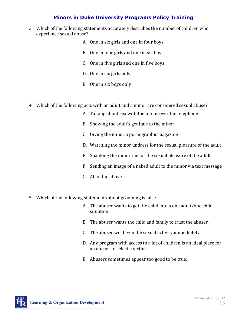- 3. Which of the following statements accurately describes the number of children who experience sexual abuse?
	- A. One in six girls and one in four boys
	- B. One in four girls and one in six boys
	- C. One in five girls and one in five boys
	- D. One in six girls only
	- E. One in six boys only
- 4. Which of the following acts with an adult and a minor are considered sexual abuse?
	- A. Talking about sex with the minor over the telephone
	- B. Showing the adult's genitals to the minor
	- C. Giving the minor a pornographic magazine
	- D. Watching the minor undress for the sexual pleasure of the adult
	- E. Spanking the minor the for the sexual pleasure of the adult
	- F. Sending an image of a naked adult to the minor via text message
	- G. All of the above
- 5. Which of the following statements about grooming is false.
	- A. The abuser wants to get the child into a one adult/one child situation.
	- B. The abuser wants the child and family to trust the abuser.
	- C. The abuser will begin the sexual activity immediately.
	- D. Any program with access to a lot of children is an ideal place for an abuser to select a victim.
	- E. Abusers sometimes appear too good to be true.

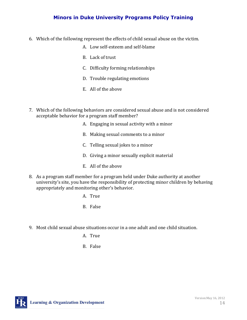- 6. Which of the following represent the effects of child sexual abuse on the victim.
	- A. Low self-esteem and self-blame
	- B. Lack of trust
	- C. Difficulty forming relationships
	- D. Trouble regulating emotions
	- E. All of the above
- 7. Which of the following behaviors are considered sexual abuse and is not considered acceptable behavior for a program staff member?
	- A. Engaging in sexual activity with a minor
	- B. Making sexual comments to a minor
	- C. Telling sexual jokes to a minor
	- D. Giving a minor sexually explicit material
	- E. All of the above
- 8. As a program staff member for a program held under Duke authority at another university's site, you have the responsibility of protecting minor children by behaving appropriately and monitoring other's behavior.
	- A. True
	- B. False
- 9. Most child sexual abuse situations occur in a one adult and one child situation.
	- A. True
	- B. False

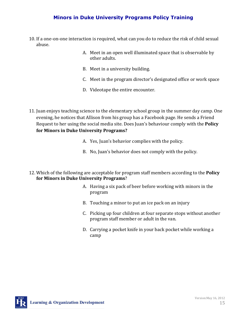- 10. If a one-on-one interaction is required, what can you do to reduce the risk of child sexual abuse.
	- A. Meet in an open well illuminated space that is observable by other adults.
	- B. Meet in a university building.
	- C. Meet in the program director's designated office or work space
	- D. Videotape the entire encounter.
- 11. Juan enjoys teaching science to the elementary school group in the summer day camp. One evening, he notices that Allison from his group has a Facebook page. He sends a Friend Request to her using the social media site. Does Juan's behaviour comply with the **Policy for Minors in Duke University Programs?**
	- A. Yes, Juan's behavior complies with the policy.
	- B. No, Juan's behavior does not comply with the policy.
- 12. Which of the following are acceptable for program staff members according to the **Policy for Minors in Duke University Programs**?
	- A. Having a six pack of beer before working with minors in the program
	- B. Touching a minor to put an ice pack on an injury
	- C. Picking up four children at four separate stops without another program staff member or adult in the van.
	- D. Carrying a pocket knife in your back pocket while working a camp

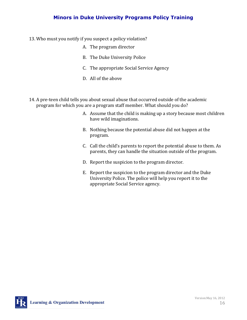- 13. Who must you notify if you suspect a policy violation?
	- A. The program director
	- B. The Duke University Police
	- C. The appropriate Social Service Agency
	- D. All of the above
- 14. A pre-teen child tells you about sexual abuse that occurred outside of the academic program for which you are a program staff member. What should you do?
	- A. Assume that the child is making up a story because most children have wild imaginations.
	- B. Nothing because the potential abuse did not happen at the program.
	- C. Call the child's parents to report the potential abuse to them. As parents, they can handle the situation outside of the program.
	- D. Report the suspicion to the program director.
	- E. Report the suspicion to the program director and the Duke University Police. The police will help you report it to the appropriate Social Service agency.

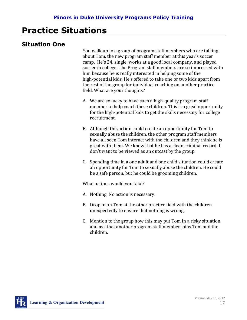# **Practice Situations**

# **Situation One**

You walk up to a group of program staff members who are talking about Tom, the new program staff member at this year's soccer camp. He's 24, single, works at a good local company, and played soccer in college. The Program staff members are so impressed with him because he is really interested in helping some of the high-potential kids. He's offered to take one or two kids apart from the rest of the group for individual coaching on another practice field. What are your thoughts?

- A. We are so lucky to have such a high-quality program staff member to help coach these children. This is a great opportunity for the high-potential kids to get the skills necessary for college recruitment.
- B. Although this action could create an opportunity for Tom to sexually abuse the children, the other program staff members have all seen Tom interact with the children and they think he is great with them. We know that he has a clean criminal record. I don't want to be viewed as an outcast by the group.
- C. Spending time in a one adult and one child situation could create an opportunity for Tom to sexually abuse the children. He could be a safe person, but he could be grooming children.

What actions would you take?

- A. Nothing. No action is necessary.
- B. Drop in on Tom at the other practice field with the children unexpectedly to ensure that nothing is wrong.
- C. Mention to the group how this may put Tom in a risky situation and ask that another program staff member joins Tom and the children.

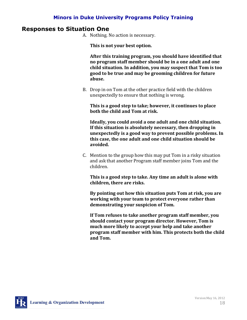#### **Responses to Situation One**

A. Nothing. No action is necessary.

**This is not your best option.** 

**After this training program, you should have identified that no program staff member should be in a one adult and one child situation. In addition, you may suspect that Tom is too good to be true and may be grooming children for future abuse.** 

B. Drop in on Tom at the other practice field with the children unexpectedly to ensure that nothing is wrong.

**This is a good step to take; however, it continues to place both the child and Tom at risk.**

**Ideally, you could avoid a one adult and one child situation. If this situation is absolutely necessary, then dropping in unexpectedly is a good way to prevent possible problems. In this case, the one adult and one child situation should be avoided.**

C. Mention to the group how this may put Tom in a risky situation and ask that another Program staff member joins Tom and the children.

**This is a good step to take. Any time an adult is alone with children, there are risks.** 

**By pointing out how this situation puts Tom at risk, you are working with your team to protect everyone rather than demonstrating your suspicion of Tom.** 

**If Tom refuses to take another program staff member, you should contact your program director. However, Tom is much more likely to accept your help and take another program staff member with him. This protects both the child and Tom.**

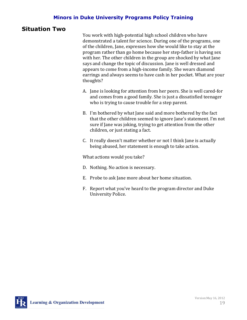### **Situation Two**

You work with high-potential high school children who have demonstrated a talent for science. During one of the programs, one of the children, Jane, expresses how she would like to stay at the program rather than go home because her step-father is having sex with her. The other children in the group are shocked by what Jane says and change the topic of discussion. Jane is well dressed and appears to come from a high-income family. She wears diamond earrings and always seems to have cash in her pocket. What are your thoughts?

- A. Jane is looking for attention from her peers. She is well cared-for and comes from a good family. She is just a dissatisfied teenager who is trying to cause trouble for a step parent.
- B. I'm bothered by what Jane said and more bothered by the fact that the other children seemed to ignore Jane's statement. I'm not sure if Jane was joking, trying to get attention from the other children, or just stating a fact.
- C. It really doesn't matter whether or not I think Jane is actually being abused, her statement is enough to take action.

What actions would you take?

- D. Nothing. No action is necessary.
- E. Probe to ask Jane more about her home situation.
- F. Report what you've heard to the program director and Duke University Police.

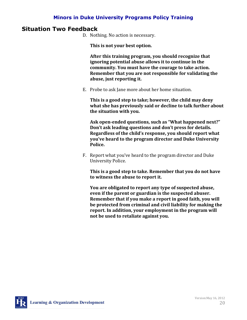#### **Situation Two Feedback**

D. Nothing. No action is necessary.

**This is not your best option.** 

**After this training program, you should recognize that ignoring potential abuse allows it to continue in the community. You must have the courage to take action. Remember that you are not responsible for validating the abuse, just reporting it.**

E. Probe to ask Jane more about her home situation.

**This is a good step to take; however, the child may deny what she has previously said or decline to talk further about the situation with you.** 

**Ask open-ended questions, such as "What happened next?" Don't ask leading questions and don't press for details. Regardless of the child's response, you should report what you've heard to the program director and Duke University Police.**

F. Report what you've heard to the program director and Duke University Police.

**This is a good step to take. Remember that you do not have to witness the abuse to report it.** 

**You are obligated to report any type of suspected abuse, even if the parent or guardian is the suspected abuser. Remember that if you make a report in good faith, you will be protected from criminal and civil liability for making the report. In addition, your employment in the program will not be used to retaliate against you.**

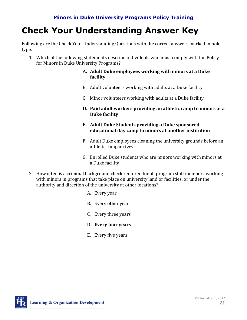# **Check Your Understanding Answer Key**

Following are the Check Your Understanding Questions with the correct answers marked in bold type.

1. Which of the following statements describe individuals who must comply with the Policy for Minors in Duke University Programs?

#### **A. Adult Duke employees working with minors at a Duke facility**

- B. Adult volunteers working with adults at a Duke facility
- C. Minor volunteers working with adults at a Duke facility
- **D. Paid adult workers providing an athletic camp to minors at a Duke facility**
- **E. Adult Duke Students providing a Duke sponsored educational day camp to minors at another institution**
- F. Adult Duke employees cleaning the university grounds before an athletic camp arrives.
- G. Enrolled Duke students who are minors working with minors at a Duke facility
- 2. How often is a criminal background check required for all program staff members working with minors in programs that take place on university land or facilities, or under the authority and direction of the university at other locations?
	- A. Every year
	- B. Every other year
	- C. Every three years
	- **D. Every four years**
	- E. Every five years

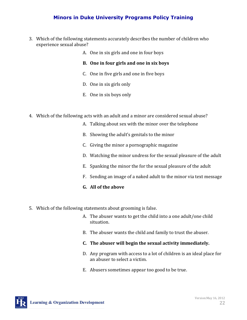- 3. Which of the following statements accurately describes the number of children who experience sexual abuse?
	- A. One in six girls and one in four boys
	- **B. One in four girls and one in six boys**
	- C. One in five girls and one in five boys
	- D. One in six girls only
	- E. One in six boys only
- 4. Which of the following acts with an adult and a minor are considered sexual abuse?
	- A. Talking about sex with the minor over the telephone
	- B. Showing the adult's genitals to the minor
	- C. Giving the minor a pornographic magazine
	- D. Watching the minor undress for the sexual pleasure of the adult
	- E. Spanking the minor the for the sexual pleasure of the adult
	- F. Sending an image of a naked adult to the minor via text message
	- **G. All of the above**
- 5. Which of the following statements about grooming is false.
	- A. The abuser wants to get the child into a one adult/one child situation.
	- B. The abuser wants the child and family to trust the abuser.
	- **C. The abuser will begin the sexual activity immediately.**
	- D. Any program with access to a lot of children is an ideal place for an abuser to select a victim.
	- E. Abusers sometimes appear too good to be true.

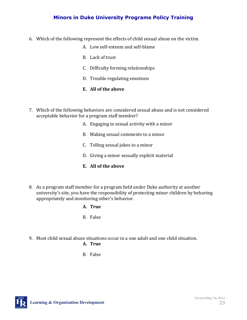- 6. Which of the following represent the effects of child sexual abuse on the victim.
	- A. Low self-esteem and self-blame
	- B. Lack of trust
	- C. Difficulty forming relationships
	- D. Trouble regulating emotions
	- **E. All of the above**
- 7. Which of the following behaviors are considered sexual abuse and is not considered acceptable behavior for a program staff member?
	- A. Engaging in sexual activity with a minor
	- B. Making sexual comments to a minor
	- C. Telling sexual jokes to a minor
	- D. Giving a minor sexually explicit material
	- **E. All of the above**
- 8. As a program staff member for a program held under Duke authority at another university's site, you have the responsibility of protecting minor children by behaving appropriately and monitoring other's behavior.
	- **A. True**
	- B. False
- 9. Most child sexual abuse situations occur in a one adult and one child situation.

#### **A. True**

B. False

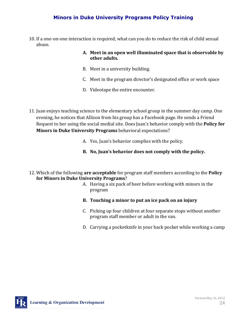10. If a one-on-one interaction is required, what can you do to reduce the risk of child sexual abuse.

#### **A. Meet in an open well illuminated space that is observable by other adults.**

- B. Meet in a university building.
- C. Meet in the program director's designated office or work space
- D. Videotape the entire encounter.
- 11. Juan enjoys teaching science to the elementary school group in the summer day camp. One evening, he notices that Allison from his group has a Facebook page. He sends a Friend Request to her using the social medial site. Does Juan's behavior comply with the **Policy for Minors in Duke University Programs** behavioral expectations?
	- A. Yes, Juan's behavior complies with the policy.
	- **B. No, Juan's behavior does not comply with the policy.**
- 12. Which of the following **are acceptable** for program staff members according to the **Policy for Minors in Duke University Programs**?
	- A. Having a six pack of beer before working with minors in the program
	- **B. Touching a minor to put an ice pack on an injury**
	- C. Picking up four children at four separate stops without another program staff member or adult in the van.
	- D. Carrying a pocketknife in your back pocket while working a camp